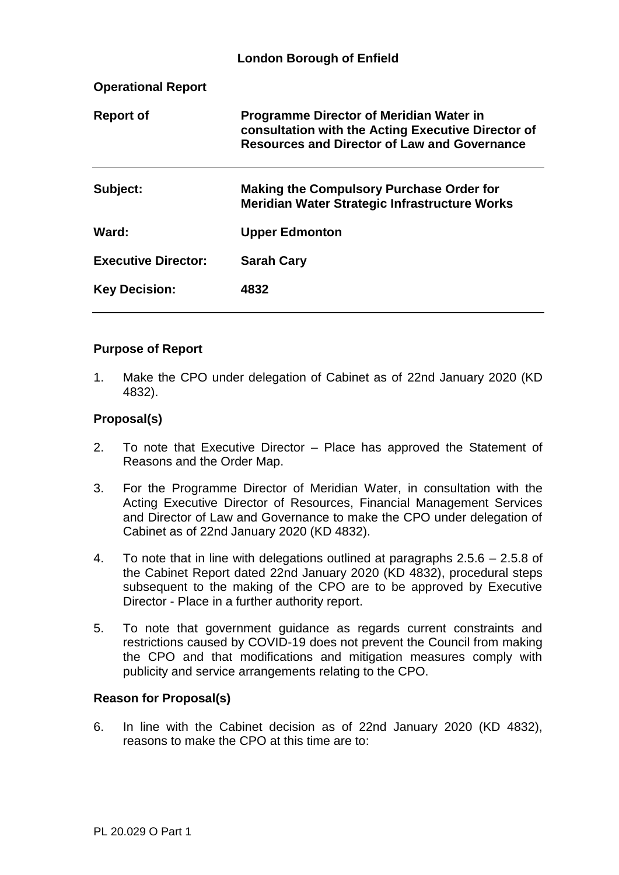|                            | <b>London Borough of Enfield</b>                                                                                                                            |
|----------------------------|-------------------------------------------------------------------------------------------------------------------------------------------------------------|
| <b>Operational Report</b>  |                                                                                                                                                             |
| <b>Report of</b>           | <b>Programme Director of Meridian Water in</b><br>consultation with the Acting Executive Director of<br><b>Resources and Director of Law and Governance</b> |
| Subject:                   | <b>Making the Compulsory Purchase Order for</b><br>Meridian Water Strategic Infrastructure Works                                                            |
| Ward:                      | <b>Upper Edmonton</b>                                                                                                                                       |
| <b>Executive Director:</b> | <b>Sarah Cary</b>                                                                                                                                           |
| <b>Key Decision:</b>       | 4832                                                                                                                                                        |

## **Purpose of Report**

1. Make the CPO under delegation of Cabinet as of 22nd January 2020 (KD 4832).

## **Proposal(s)**

- 2. To note that Executive Director Place has approved the Statement of Reasons and the Order Map.
- 3. For the Programme Director of Meridian Water, in consultation with the Acting Executive Director of Resources, Financial Management Services and Director of Law and Governance to make the CPO under delegation of Cabinet as of 22nd January 2020 (KD 4832).
- 4. To note that in line with delegations outlined at paragraphs 2.5.6 2.5.8 of the Cabinet Report dated 22nd January 2020 (KD 4832), procedural steps subsequent to the making of the CPO are to be approved by Executive Director - Place in a further authority report.
- 5. To note that government guidance as regards current constraints and restrictions caused by COVID-19 does not prevent the Council from making the CPO and that modifications and mitigation measures comply with publicity and service arrangements relating to the CPO.

#### **Reason for Proposal(s)**

6. In line with the Cabinet decision as of 22nd January 2020 (KD 4832), reasons to make the CPO at this time are to: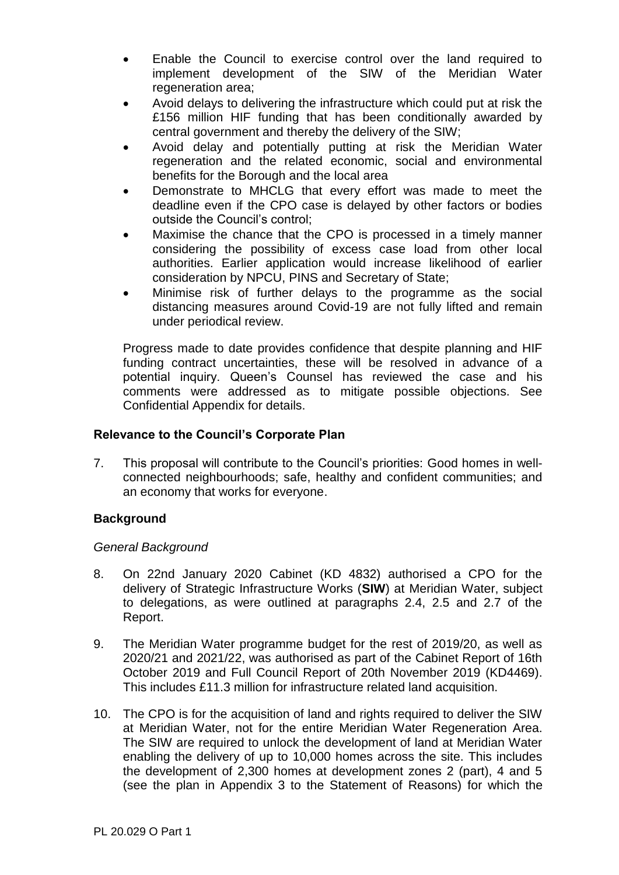- Enable the Council to exercise control over the land required to implement development of the SIW of the Meridian Water regeneration area:
- Avoid delays to delivering the infrastructure which could put at risk the £156 million HIF funding that has been conditionally awarded by central government and thereby the delivery of the SIW;
- Avoid delay and potentially putting at risk the Meridian Water regeneration and the related economic, social and environmental benefits for the Borough and the local area
- Demonstrate to MHCLG that every effort was made to meet the deadline even if the CPO case is delayed by other factors or bodies outside the Council's control;
- Maximise the chance that the CPO is processed in a timely manner considering the possibility of excess case load from other local authorities. Earlier application would increase likelihood of earlier consideration by NPCU, PINS and Secretary of State;
- Minimise risk of further delays to the programme as the social distancing measures around Covid-19 are not fully lifted and remain under periodical review.

Progress made to date provides confidence that despite planning and HIF funding contract uncertainties, these will be resolved in advance of a potential inquiry. Queen's Counsel has reviewed the case and his comments were addressed as to mitigate possible objections. See Confidential Appendix for details.

# **Relevance to the Council's Corporate Plan**

7. This proposal will contribute to the Council's priorities: Good homes in wellconnected neighbourhoods; safe, healthy and confident communities; and an economy that works for everyone.

# **Background**

## *General Background*

- 8. On 22nd January 2020 Cabinet (KD 4832) authorised a CPO for the delivery of Strategic Infrastructure Works (**SIW**) at Meridian Water, subject to delegations, as were outlined at paragraphs 2.4, 2.5 and 2.7 of the Report.
- 9. The Meridian Water programme budget for the rest of 2019/20, as well as 2020/21 and 2021/22, was authorised as part of the Cabinet Report of 16th October 2019 and Full Council Report of 20th November 2019 (KD4469). This includes £11.3 million for infrastructure related land acquisition.
- 10. The CPO is for the acquisition of land and rights required to deliver the SIW at Meridian Water, not for the entire Meridian Water Regeneration Area. The SIW are required to unlock the development of land at Meridian Water enabling the delivery of up to 10,000 homes across the site. This includes the development of 2,300 homes at development zones 2 (part), 4 and 5 (see the plan in Appendix 3 to the Statement of Reasons) for which the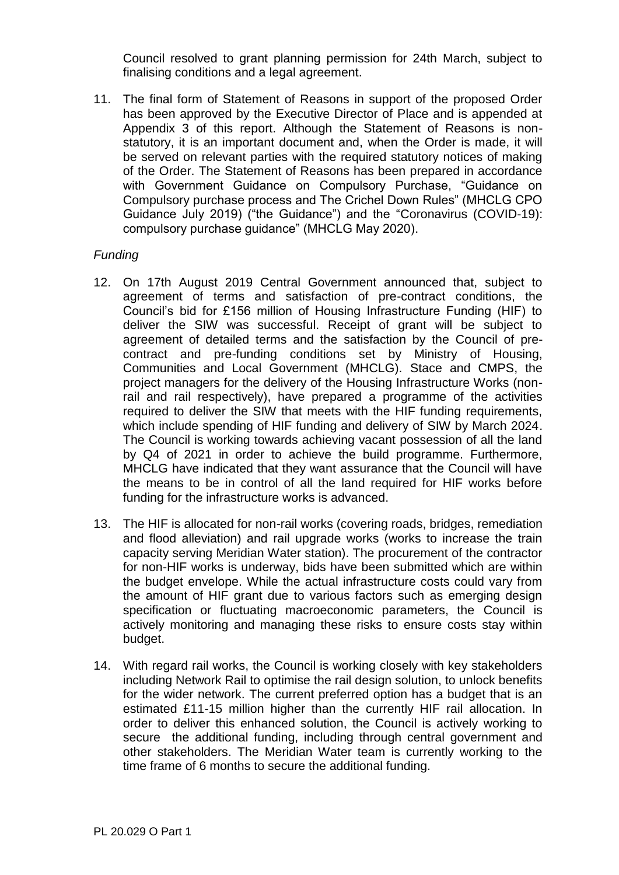Council resolved to grant planning permission for 24th March, subject to finalising conditions and a legal agreement.

11. The final form of Statement of Reasons in support of the proposed Order has been approved by the Executive Director of Place and is appended at Appendix 3 of this report. Although the Statement of Reasons is nonstatutory, it is an important document and, when the Order is made, it will be served on relevant parties with the required statutory notices of making of the Order. The Statement of Reasons has been prepared in accordance with Government Guidance on Compulsory Purchase, "Guidance on Compulsory purchase process and The Crichel Down Rules" (MHCLG CPO Guidance July 2019) ("the Guidance") and the "Coronavirus (COVID-19): compulsory purchase guidance" (MHCLG May 2020).

## *Funding*

- 12. On 17th August 2019 Central Government announced that, subject to agreement of terms and satisfaction of pre-contract conditions, the Council's bid for £156 million of Housing Infrastructure Funding (HIF) to deliver the SIW was successful. Receipt of grant will be subject to agreement of detailed terms and the satisfaction by the Council of precontract and pre-funding conditions set by Ministry of Housing, Communities and Local Government (MHCLG). Stace and CMPS, the project managers for the delivery of the Housing Infrastructure Works (nonrail and rail respectively), have prepared a programme of the activities required to deliver the SIW that meets with the HIF funding requirements, which include spending of HIF funding and delivery of SIW by March 2024. The Council is working towards achieving vacant possession of all the land by Q4 of 2021 in order to achieve the build programme. Furthermore, MHCLG have indicated that they want assurance that the Council will have the means to be in control of all the land required for HIF works before funding for the infrastructure works is advanced.
- 13. The HIF is allocated for non-rail works (covering roads, bridges, remediation and flood alleviation) and rail upgrade works (works to increase the train capacity serving Meridian Water station). The procurement of the contractor for non-HIF works is underway, bids have been submitted which are within the budget envelope. While the actual infrastructure costs could vary from the amount of HIF grant due to various factors such as emerging design specification or fluctuating macroeconomic parameters, the Council is actively monitoring and managing these risks to ensure costs stay within budget.
- 14. With regard rail works, the Council is working closely with key stakeholders including Network Rail to optimise the rail design solution, to unlock benefits for the wider network. The current preferred option has a budget that is an estimated £11-15 million higher than the currently HIF rail allocation. In order to deliver this enhanced solution, the Council is actively working to secure the additional funding, including through central government and other stakeholders. The Meridian Water team is currently working to the time frame of 6 months to secure the additional funding.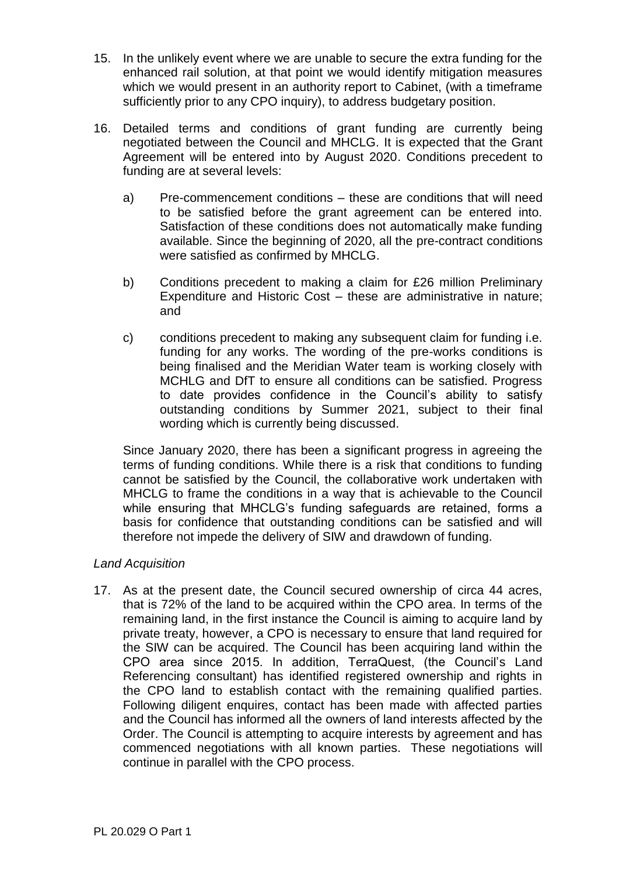- 15. In the unlikely event where we are unable to secure the extra funding for the enhanced rail solution, at that point we would identify mitigation measures which we would present in an authority report to Cabinet, (with a timeframe sufficiently prior to any CPO inquiry), to address budgetary position.
- 16. Detailed terms and conditions of grant funding are currently being negotiated between the Council and MHCLG. It is expected that the Grant Agreement will be entered into by August 2020. Conditions precedent to funding are at several levels:
	- a) Pre-commencement conditions these are conditions that will need to be satisfied before the grant agreement can be entered into. Satisfaction of these conditions does not automatically make funding available. Since the beginning of 2020, all the pre-contract conditions were satisfied as confirmed by MHCLG.
	- b) Conditions precedent to making a claim for £26 million Preliminary Expenditure and Historic Cost – these are administrative in nature; and
	- c) conditions precedent to making any subsequent claim for funding i.e. funding for any works. The wording of the pre-works conditions is being finalised and the Meridian Water team is working closely with MCHLG and DfT to ensure all conditions can be satisfied. Progress to date provides confidence in the Council's ability to satisfy outstanding conditions by Summer 2021, subject to their final wording which is currently being discussed.

Since January 2020, there has been a significant progress in agreeing the terms of funding conditions. While there is a risk that conditions to funding cannot be satisfied by the Council, the collaborative work undertaken with MHCLG to frame the conditions in a way that is achievable to the Council while ensuring that MHCLG's funding safeguards are retained, forms a basis for confidence that outstanding conditions can be satisfied and will therefore not impede the delivery of SIW and drawdown of funding.

# *Land Acquisition*

17. As at the present date, the Council secured ownership of circa 44 acres, that is 72% of the land to be acquired within the CPO area. In terms of the remaining land, in the first instance the Council is aiming to acquire land by private treaty, however, a CPO is necessary to ensure that land required for the SIW can be acquired. The Council has been acquiring land within the CPO area since 2015. In addition, TerraQuest, (the Council's Land Referencing consultant) has identified registered ownership and rights in the CPO land to establish contact with the remaining qualified parties. Following diligent enquires, contact has been made with affected parties and the Council has informed all the owners of land interests affected by the Order. The Council is attempting to acquire interests by agreement and has commenced negotiations with all known parties. These negotiations will continue in parallel with the CPO process.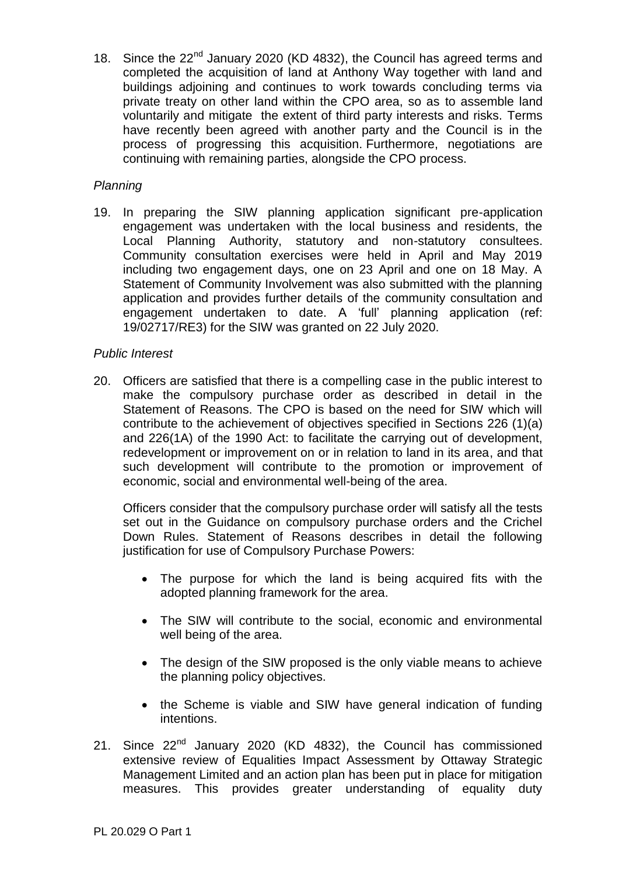18. Since the 22<sup>nd</sup> January 2020 (KD 4832), the Council has agreed terms and completed the acquisition of land at Anthony Way together with land and buildings adjoining and continues to work towards concluding terms via private treaty on other land within the CPO area, so as to assemble land voluntarily and mitigate the extent of third party interests and risks. Terms have recently been agreed with another party and the Council is in the process of progressing this acquisition. Furthermore, negotiations are continuing with remaining parties, alongside the CPO process.

## *Planning*

19. In preparing the SIW planning application significant pre-application engagement was undertaken with the local business and residents, the Local Planning Authority, statutory and non-statutory consultees. Community consultation exercises were held in April and May 2019 including two engagement days, one on 23 April and one on 18 May. A Statement of Community Involvement was also submitted with the planning application and provides further details of the community consultation and engagement undertaken to date. A 'full' planning application (ref: 19/02717/RE3) for the SIW was granted on 22 July 2020.

## *Public Interest*

20. Officers are satisfied that there is a compelling case in the public interest to make the compulsory purchase order as described in detail in the Statement of Reasons. The CPO is based on the need for SIW which will contribute to the achievement of objectives specified in Sections 226 (1)(a) and 226(1A) of the 1990 Act: to facilitate the carrying out of development, redevelopment or improvement on or in relation to land in its area, and that such development will contribute to the promotion or improvement of economic, social and environmental well-being of the area.

Officers consider that the compulsory purchase order will satisfy all the tests set out in the Guidance on compulsory purchase orders and the Crichel Down Rules. Statement of Reasons describes in detail the following justification for use of Compulsory Purchase Powers:

- The purpose for which the land is being acquired fits with the adopted planning framework for the area.
- The SIW will contribute to the social, economic and environmental well being of the area.
- The design of the SIW proposed is the only viable means to achieve the planning policy objectives.
- the Scheme is viable and SIW have general indication of funding intentions.
- 21. Since 22<sup>nd</sup> January 2020 (KD 4832), the Council has commissioned extensive review of Equalities Impact Assessment by Ottaway Strategic Management Limited and an action plan has been put in place for mitigation measures. This provides greater understanding of equality duty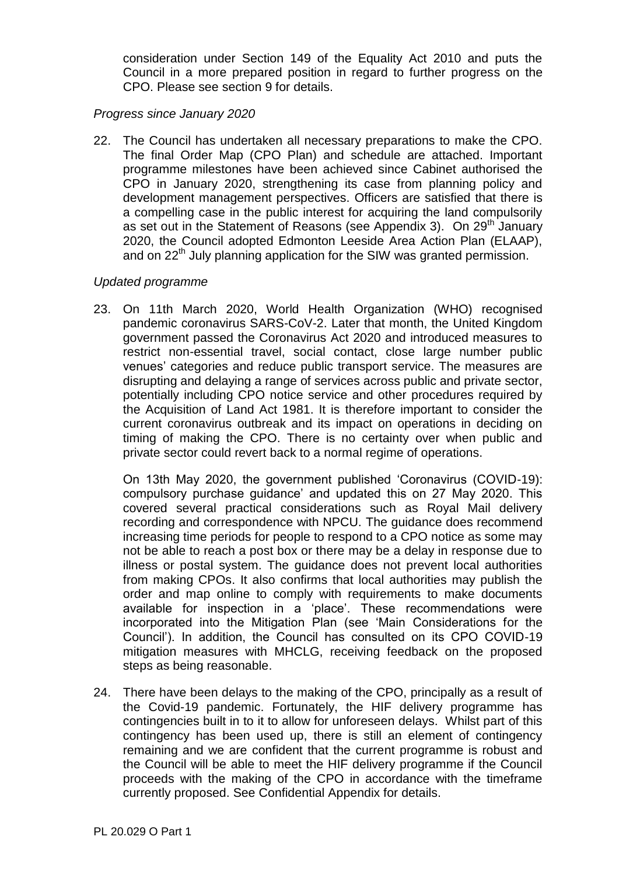consideration under Section 149 of the Equality Act 2010 and puts the Council in a more prepared position in regard to further progress on the CPO. Please see section 9 for details.

### *Progress since January 2020*

22. The Council has undertaken all necessary preparations to make the CPO. The final Order Map (CPO Plan) and schedule are attached. Important programme milestones have been achieved since Cabinet authorised the CPO in January 2020, strengthening its case from planning policy and development management perspectives. Officers are satisfied that there is a compelling case in the public interest for acquiring the land compulsorily as set out in the Statement of Reasons (see Appendix 3). On 29<sup>th</sup> January 2020, the Council adopted Edmonton Leeside Area Action Plan (ELAAP), and on 22<sup>th</sup> July planning application for the SIW was granted permission.

## *Updated programme*

23. On 11th March 2020, World Health Organization (WHO) recognised pandemic coronavirus SARS-CoV-2. Later that month, the United Kingdom government passed the Coronavirus Act 2020 and introduced measures to restrict non-essential travel, social contact, close large number public venues' categories and reduce public transport service. The measures are disrupting and delaying a range of services across public and private sector, potentially including CPO notice service and other procedures required by the Acquisition of Land Act 1981. It is therefore important to consider the current coronavirus outbreak and its impact on operations in deciding on timing of making the CPO. There is no certainty over when public and private sector could revert back to a normal regime of operations.

On 13th May 2020, the government published 'Coronavirus (COVID-19): compulsory purchase guidance' and updated this on 27 May 2020. This covered several practical considerations such as Royal Mail delivery recording and correspondence with NPCU. The guidance does recommend increasing time periods for people to respond to a CPO notice as some may not be able to reach a post box or there may be a delay in response due to illness or postal system. The guidance does not prevent local authorities from making CPOs. It also confirms that local authorities may publish the order and map online to comply with requirements to make documents available for inspection in a 'place'. These recommendations were incorporated into the Mitigation Plan (see 'Main Considerations for the Council'). In addition, the Council has consulted on its CPO COVID-19 mitigation measures with MHCLG, receiving feedback on the proposed steps as being reasonable.

24. There have been delays to the making of the CPO, principally as a result of the Covid-19 pandemic. Fortunately, the HIF delivery programme has contingencies built in to it to allow for unforeseen delays. Whilst part of this contingency has been used up, there is still an element of contingency remaining and we are confident that the current programme is robust and the Council will be able to meet the HIF delivery programme if the Council proceeds with the making of the CPO in accordance with the timeframe currently proposed. See Confidential Appendix for details.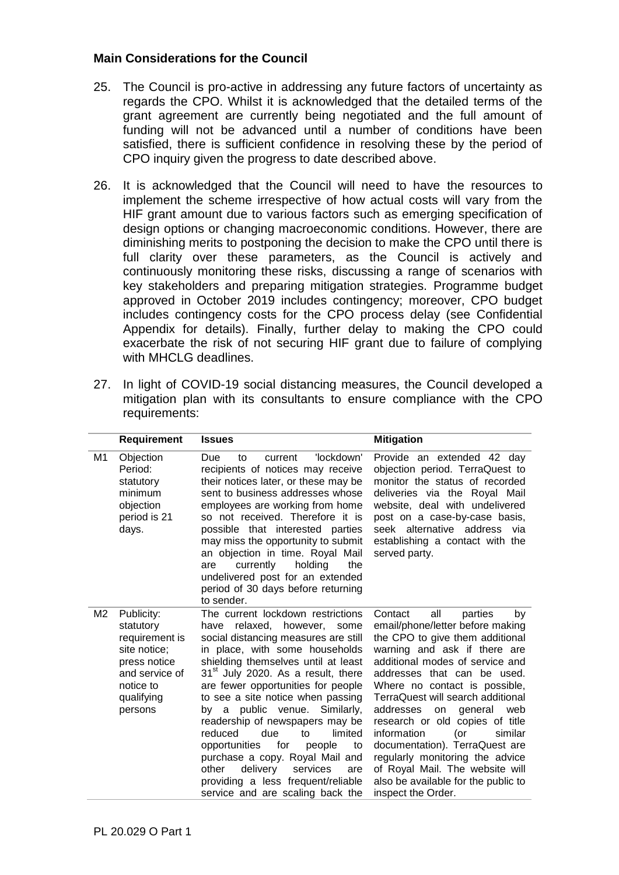### **Main Considerations for the Council**

- 25. The Council is pro-active in addressing any future factors of uncertainty as regards the CPO. Whilst it is acknowledged that the detailed terms of the grant agreement are currently being negotiated and the full amount of funding will not be advanced until a number of conditions have been satisfied, there is sufficient confidence in resolving these by the period of CPO inquiry given the progress to date described above.
- 26. It is acknowledged that the Council will need to have the resources to implement the scheme irrespective of how actual costs will vary from the HIF grant amount due to various factors such as emerging specification of design options or changing macroeconomic conditions. However, there are diminishing merits to postponing the decision to make the CPO until there is full clarity over these parameters, as the Council is actively and continuously monitoring these risks, discussing a range of scenarios with key stakeholders and preparing mitigation strategies. Programme budget approved in October 2019 includes contingency; moreover, CPO budget includes contingency costs for the CPO process delay (see Confidential Appendix for details). Finally, further delay to making the CPO could exacerbate the risk of not securing HIF grant due to failure of complying with MHCLG deadlines.
- 27. In light of COVID-19 social distancing measures, the Council developed a mitigation plan with its consultants to ensure compliance with the CPO requirements:

|                | <b>Requirement</b>                                                                                                                | <b>Issues</b>                                                                                                                                                                                                                                                                                                                                                                                                                                                                                                                                                                                               | <b>Mitigation</b>                                                                                                                                                                                                                                                                                                                                                                                                                                                                                                                                            |
|----------------|-----------------------------------------------------------------------------------------------------------------------------------|-------------------------------------------------------------------------------------------------------------------------------------------------------------------------------------------------------------------------------------------------------------------------------------------------------------------------------------------------------------------------------------------------------------------------------------------------------------------------------------------------------------------------------------------------------------------------------------------------------------|--------------------------------------------------------------------------------------------------------------------------------------------------------------------------------------------------------------------------------------------------------------------------------------------------------------------------------------------------------------------------------------------------------------------------------------------------------------------------------------------------------------------------------------------------------------|
| M1             | Objection<br>Period:<br>statutory<br>minimum<br>objection<br>period is 21<br>days.                                                | 'lockdown'<br>Due<br>to<br>current<br>recipients of notices may receive<br>their notices later, or these may be<br>sent to business addresses whose<br>employees are working from home<br>so not received. Therefore it is<br>possible that interested parties<br>may miss the opportunity to submit<br>an objection in time. Royal Mail<br>the<br>currently<br>holding<br>are<br>undelivered post for an extended<br>period of 30 days before returning<br>to sender.                                                                                                                                      | Provide an extended 42 day<br>objection period. TerraQuest to<br>monitor the status of recorded<br>deliveries via the Royal Mail<br>website, deal with undelivered<br>post on a case-by-case basis,<br>seek alternative address via<br>establishing a contact with the<br>served party.                                                                                                                                                                                                                                                                      |
| M <sub>2</sub> | Publicity:<br>statutory<br>requirement is<br>site notice;<br>press notice<br>and service of<br>notice to<br>qualifying<br>persons | The current lockdown restrictions<br>relaxed, however, some<br>have<br>social distancing measures are still<br>in place, with some households<br>shielding themselves until at least<br>$31st$ July 2020. As a result, there<br>are fewer opportunities for people<br>to see a site notice when passing<br>by a public venue. Similarly,<br>readership of newspapers may be<br>reduced<br>due<br>limited<br>to<br>for<br>opportunities<br>people<br>to<br>purchase a copy. Royal Mail and<br>other<br>delivery<br>services<br>are<br>providing a less frequent/reliable<br>service and are scaling back the | all<br>Contact<br>parties<br>by<br>email/phone/letter before making<br>the CPO to give them additional<br>warning and ask if there are<br>additional modes of service and<br>addresses that can be used.<br>Where no contact is possible,<br>TerraQuest will search additional<br>addresses<br>general<br>web<br>on<br>research or old copies of title<br>information<br>similar<br>(or<br>documentation). TerraQuest are<br>regularly monitoring the advice<br>of Royal Mail. The website will<br>also be available for the public to<br>inspect the Order. |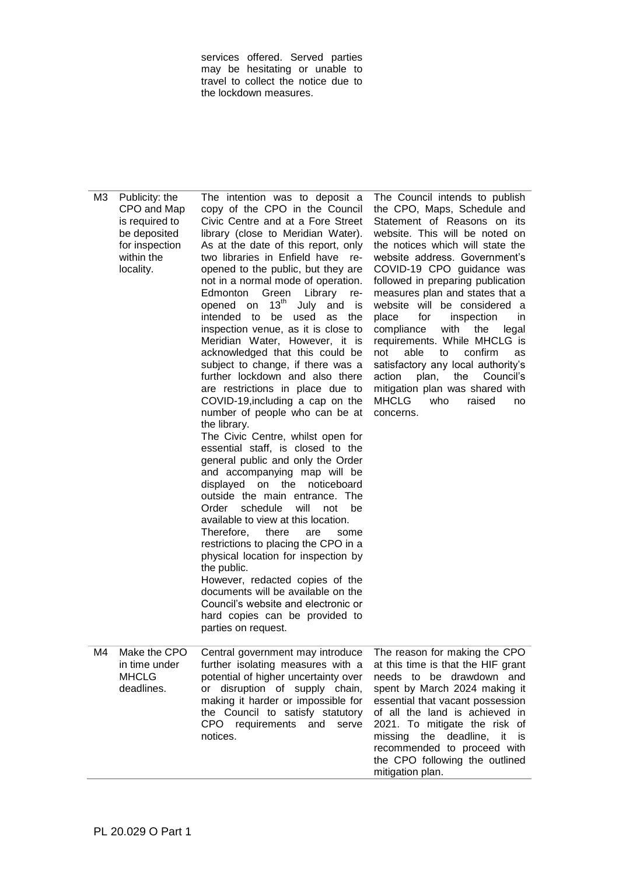services offered. Served parties may be hesitating or unable to travel to collect the notice due to the lockdown measures.

M3 Publicity: the CPO and Map is required to be deposited for inspection within the locality. The intention was to deposit a copy of the CPO in the Council Civic Centre and at a Fore Street library (close to Meridian Water). As at the date of this report, only two libraries in Enfield have reopened to the public, but they are not in a normal mode of operation. Edmonton Green Library reopened on  $13<sup>th</sup>$  July and is intended to be used as the inspection venue, as it is close to Meridian Water, However, it is acknowledged that this could be subject to change, if there was a further lockdown and also there are restrictions in place due to COVID-19,including a cap on the number of people who can be at the library. The Civic Centre, whilst open for essential staff, is closed to the general public and only the Order and accompanying map will be displayed on the noticeboard outside the main entrance. The Order schedule will not be available to view at this location. Therefore, there are some restrictions to placing the CPO in a physical location for inspection by the public. However, redacted copies of the documents will be available on the Council's website and electronic or hard copies can be provided to parties on request. The Council intends to publish the CPO, Maps, Schedule and Statement of Reasons on its website. This will be noted on the notices which will state the website address. Government's COVID-19 CPO guidance was followed in preparing publication measures plan and states that a website will be considered a place for inspection in compliance with the legal requirements. While MHCLG is not able to confirm as satisfactory any local authority's action plan, the Council's mitigation plan was shared with MHCLG who raised no concerns. M4 Make the CPO in time under MHCLG deadlines. Central government may introduce further isolating measures with a potential of higher uncertainty over or disruption of supply chain, making it harder or impossible for the Council to satisfy statutory CPO requirements and serve notices. The reason for making the CPO at this time is that the HIF grant needs to be drawdown and spent by March 2024 making it essential that vacant possession of all the land is achieved in 2021. To mitigate the risk of missing the deadline, it is recommended to proceed with the CPO following the outlined mitigation plan.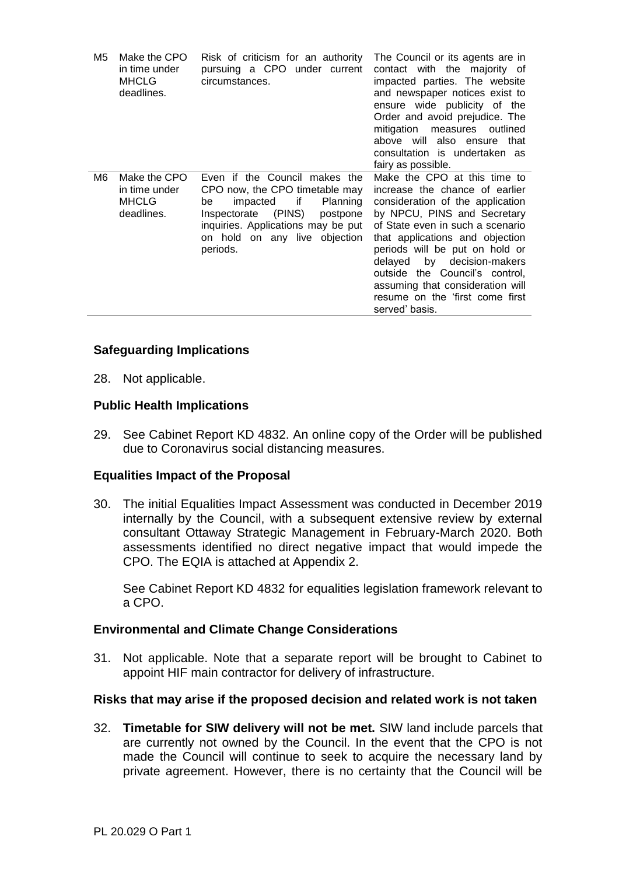| M5 | Make the CPO<br>in time under<br><b>MHCLG</b><br>deadlines. | Risk of criticism for an authority<br>pursuing a CPO under current<br>circumstances.                                                                                                                                         | The Council or its agents are in<br>contact with the majority of<br>impacted parties. The website<br>and newspaper notices exist to<br>ensure wide publicity of the<br>Order and avoid prejudice. The<br>mitigation<br>measures<br>outlined<br>above will also ensure that<br>consultation is undertaken as<br>fairy as possible.                                                                      |
|----|-------------------------------------------------------------|------------------------------------------------------------------------------------------------------------------------------------------------------------------------------------------------------------------------------|--------------------------------------------------------------------------------------------------------------------------------------------------------------------------------------------------------------------------------------------------------------------------------------------------------------------------------------------------------------------------------------------------------|
| M6 | Make the CPO<br>in time under<br><b>MHCLG</b><br>deadlines. | Even if the Council makes the<br>CPO now, the CPO timetable may<br>if<br>impacted<br>Planning<br>be<br>Inspectorate (PINS)<br>postpone<br>inquiries. Applications may be put<br>on any live objection<br>on hold<br>periods. | Make the CPO at this time to<br>increase the chance of earlier<br>consideration of the application<br>by NPCU, PINS and Secretary<br>of State even in such a scenario<br>that applications and objection<br>periods will be put on hold or<br>by decision-makers<br>delayed<br>outside the Council's control,<br>assuming that consideration will<br>resume on the 'first come first<br>served' basis. |

## **Safeguarding Implications**

28. Not applicable.

### **Public Health Implications**

29. See Cabinet Report KD 4832. An online copy of the Order will be published due to Coronavirus social distancing measures.

#### **Equalities Impact of the Proposal**

30. The initial Equalities Impact Assessment was conducted in December 2019 internally by the Council, with a subsequent extensive review by external consultant Ottaway Strategic Management in February-March 2020. Both assessments identified no direct negative impact that would impede the CPO. The EQIA is attached at Appendix 2.

See Cabinet Report KD 4832 for equalities legislation framework relevant to a CPO.

#### **Environmental and Climate Change Considerations**

31. Not applicable. Note that a separate report will be brought to Cabinet to appoint HIF main contractor for delivery of infrastructure.

#### **Risks that may arise if the proposed decision and related work is not taken**

32. **Timetable for SIW delivery will not be met.** SIW land include parcels that are currently not owned by the Council. In the event that the CPO is not made the Council will continue to seek to acquire the necessary land by private agreement. However, there is no certainty that the Council will be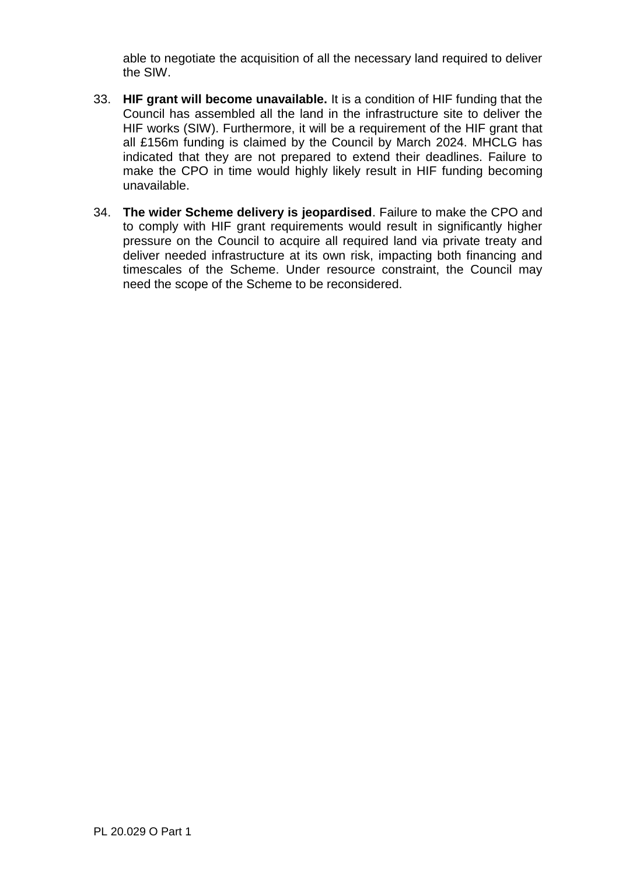able to negotiate the acquisition of all the necessary land required to deliver the SIW.

- 33. **HIF grant will become unavailable.** It is a condition of HIF funding that the Council has assembled all the land in the infrastructure site to deliver the HIF works (SIW). Furthermore, it will be a requirement of the HIF grant that all £156m funding is claimed by the Council by March 2024. MHCLG has indicated that they are not prepared to extend their deadlines. Failure to make the CPO in time would highly likely result in HIF funding becoming unavailable.
- 34. **The wider Scheme delivery is jeopardised**. Failure to make the CPO and to comply with HIF grant requirements would result in significantly higher pressure on the Council to acquire all required land via private treaty and deliver needed infrastructure at its own risk, impacting both financing and timescales of the Scheme. Under resource constraint, the Council may need the scope of the Scheme to be reconsidered.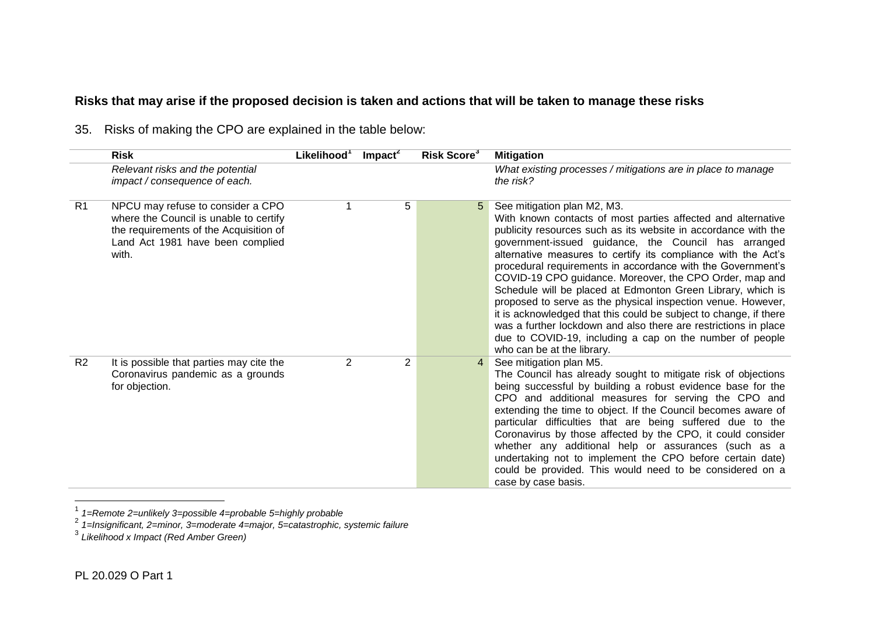# **Risks that may arise if the proposed decision is taken and actions that will be taken to manage these risks**

|                | <b>Risk</b>                                                                                                                                                        | Likelihood <sup>1</sup> | $Im$ pact <sup>2</sup> | Risk Score <sup>3</sup> | <b>Mitigation</b>                                                                                                                                                                                                                                                                                                                                                                                                                                                                                                                                                                                                                                                                                                                                                                 |
|----------------|--------------------------------------------------------------------------------------------------------------------------------------------------------------------|-------------------------|------------------------|-------------------------|-----------------------------------------------------------------------------------------------------------------------------------------------------------------------------------------------------------------------------------------------------------------------------------------------------------------------------------------------------------------------------------------------------------------------------------------------------------------------------------------------------------------------------------------------------------------------------------------------------------------------------------------------------------------------------------------------------------------------------------------------------------------------------------|
|                | Relevant risks and the potential<br>impact / consequence of each.                                                                                                  |                         |                        |                         | What existing processes / mitigations are in place to manage<br>the risk?                                                                                                                                                                                                                                                                                                                                                                                                                                                                                                                                                                                                                                                                                                         |
| R <sub>1</sub> | NPCU may refuse to consider a CPO<br>where the Council is unable to certify<br>the requirements of the Acquisition of<br>Land Act 1981 have been complied<br>with. |                         | 5                      | 5                       | See mitigation plan M2, M3.<br>With known contacts of most parties affected and alternative<br>publicity resources such as its website in accordance with the<br>government-issued guidance, the Council has arranged<br>alternative measures to certify its compliance with the Act's<br>procedural requirements in accordance with the Government's<br>COVID-19 CPO guidance. Moreover, the CPO Order, map and<br>Schedule will be placed at Edmonton Green Library, which is<br>proposed to serve as the physical inspection venue. However,<br>it is acknowledged that this could be subject to change, if there<br>was a further lockdown and also there are restrictions in place<br>due to COVID-19, including a cap on the number of people<br>who can be at the library. |
| R <sub>2</sub> | It is possible that parties may cite the<br>Coronavirus pandemic as a grounds<br>for objection.                                                                    | $\overline{2}$          | $\overline{2}$         | 4                       | See mitigation plan M5.<br>The Council has already sought to mitigate risk of objections<br>being successful by building a robust evidence base for the<br>CPO and additional measures for serving the CPO and<br>extending the time to object. If the Council becomes aware of<br>particular difficulties that are being suffered due to the<br>Coronavirus by those affected by the CPO, it could consider<br>whether any additional help or assurances (such as a<br>undertaking not to implement the CPO before certain date)<br>could be provided. This would need to be considered on a<br>case by case basis.                                                                                                                                                              |

35. Risks of making the CPO are explained in the table below:

 1 *1=Remote 2=unlikely 3=possible 4=probable 5=highly probable* 2 *1=Insignificant, 2=minor, 3=moderate 4=major, 5=catastrophic, systemic failure* 3 *Likelihood x Impact (Red Amber Green)*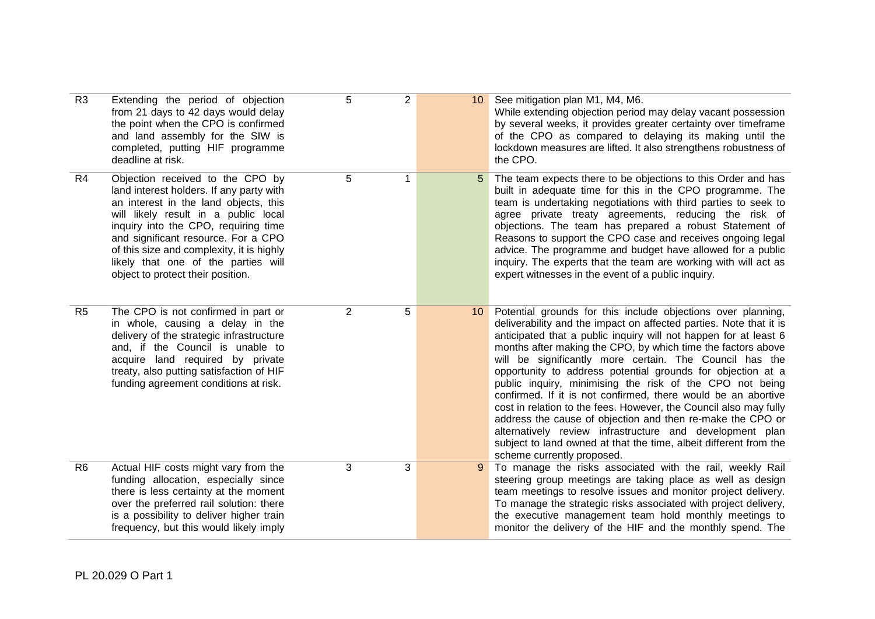| R <sub>3</sub> | Extending the period of objection<br>from 21 days to 42 days would delay<br>the point when the CPO is confirmed<br>and land assembly for the SIW is<br>completed, putting HIF programme<br>deadline at risk.                                                                                                                                                          | 5 | $\overline{2}$ | 10 | See mitigation plan M1, M4, M6.<br>While extending objection period may delay vacant possession<br>by several weeks, it provides greater certainty over timeframe<br>of the CPO as compared to delaying its making until the<br>lockdown measures are lifted. It also strengthens robustness of<br>the CPO.                                                                                                                                                                                                                                                                                                                                                                                                                                                                                                                     |
|----------------|-----------------------------------------------------------------------------------------------------------------------------------------------------------------------------------------------------------------------------------------------------------------------------------------------------------------------------------------------------------------------|---|----------------|----|---------------------------------------------------------------------------------------------------------------------------------------------------------------------------------------------------------------------------------------------------------------------------------------------------------------------------------------------------------------------------------------------------------------------------------------------------------------------------------------------------------------------------------------------------------------------------------------------------------------------------------------------------------------------------------------------------------------------------------------------------------------------------------------------------------------------------------|
| R4             | Objection received to the CPO by<br>land interest holders. If any party with<br>an interest in the land objects, this<br>will likely result in a public local<br>inquiry into the CPO, requiring time<br>and significant resource. For a CPO<br>of this size and complexity, it is highly<br>likely that one of the parties will<br>object to protect their position. | 5 | 1              | 5  | The team expects there to be objections to this Order and has<br>built in adequate time for this in the CPO programme. The<br>team is undertaking negotiations with third parties to seek to<br>agree private treaty agreements, reducing the risk of<br>objections. The team has prepared a robust Statement of<br>Reasons to support the CPO case and receives ongoing legal<br>advice. The programme and budget have allowed for a public<br>inquiry. The experts that the team are working with will act as<br>expert witnesses in the event of a public inquiry.                                                                                                                                                                                                                                                           |
| R <sub>5</sub> | The CPO is not confirmed in part or<br>in whole, causing a delay in the<br>delivery of the strategic infrastructure<br>and, if the Council is unable to<br>acquire land required by private<br>treaty, also putting satisfaction of HIF<br>funding agreement conditions at risk.                                                                                      | 2 | 5              | 10 | Potential grounds for this include objections over planning,<br>deliverability and the impact on affected parties. Note that it is<br>anticipated that a public inquiry will not happen for at least 6<br>months after making the CPO, by which time the factors above<br>will be significantly more certain. The Council has the<br>opportunity to address potential grounds for objection at a<br>public inquiry, minimising the risk of the CPO not being<br>confirmed. If it is not confirmed, there would be an abortive<br>cost in relation to the fees. However, the Council also may fully<br>address the cause of objection and then re-make the CPO or<br>alternatively review infrastructure and development plan<br>subject to land owned at that the time, albeit different from the<br>scheme currently proposed. |
| R <sub>6</sub> | Actual HIF costs might vary from the<br>funding allocation, especially since<br>there is less certainty at the moment<br>over the preferred rail solution: there<br>is a possibility to deliver higher train<br>frequency, but this would likely imply                                                                                                                | 3 | 3              | 9  | To manage the risks associated with the rail, weekly Rail<br>steering group meetings are taking place as well as design<br>team meetings to resolve issues and monitor project delivery.<br>To manage the strategic risks associated with project delivery,<br>the executive management team hold monthly meetings to<br>monitor the delivery of the HIF and the monthly spend. The                                                                                                                                                                                                                                                                                                                                                                                                                                             |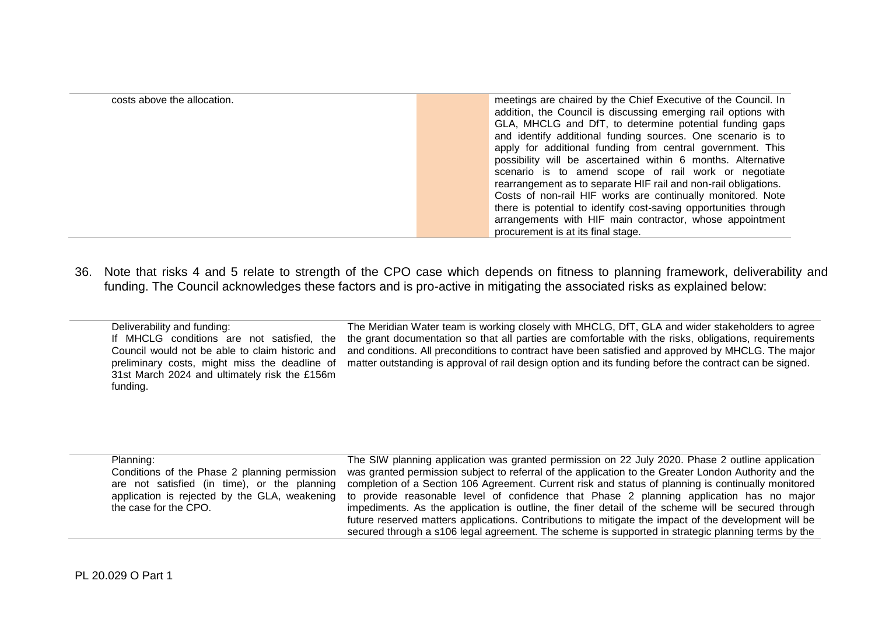| costs above the allocation. | meetings are chaired by the Chief Executive of the Council. In   |
|-----------------------------|------------------------------------------------------------------|
|                             | addition, the Council is discussing emerging rail options with   |
|                             | GLA, MHCLG and DfT, to determine potential funding gaps          |
|                             | and identify additional funding sources. One scenario is to      |
|                             | apply for additional funding from central government. This       |
|                             | possibility will be ascertained within 6 months. Alternative     |
|                             | scenario is to amend scope of rail work or negotiate             |
|                             | rearrangement as to separate HIF rail and non-rail obligations.  |
|                             | Costs of non-rail HIF works are continually monitored. Note      |
|                             | there is potential to identify cost-saving opportunities through |
|                             | arrangements with HIF main contractor, whose appointment         |
|                             | procurement is at its final stage.                               |

36. Note that risks 4 and 5 relate to strength of the CPO case which depends on fitness to planning framework, deliverability and funding. The Council acknowledges these factors and is pro-active in mitigating the associated risks as explained below:

| Deliverability and funding:                     | The Meridian Water team is working closely with MHCLG, DfT, GLA and wider stakeholders to agree         |
|-------------------------------------------------|---------------------------------------------------------------------------------------------------------|
| If MHCLG conditions are not satisfied, the      | the grant documentation so that all parties are comfortable with the risks, obligations, requirements   |
| Council would not be able to claim historic and | and conditions. All preconditions to contract have been satisfied and approved by MHCLG. The major      |
| preliminary costs, might miss the deadline of   | matter outstanding is approval of rail design option and its funding before the contract can be signed. |
| 31st March 2024 and ultimately risk the £156m   |                                                                                                         |
| funding.                                        |                                                                                                         |
|                                                 |                                                                                                         |

| Planning:                                     | The SIW planning application was granted permission on 22 July 2020. Phase 2 outline application      |
|-----------------------------------------------|-------------------------------------------------------------------------------------------------------|
| Conditions of the Phase 2 planning permission | was granted permission subject to referral of the application to the Greater London Authority and the |
| are not satisfied (in time), or the planning  | completion of a Section 106 Agreement. Current risk and status of planning is continually monitored   |
| application is rejected by the GLA, weakening | to provide reasonable level of confidence that Phase 2 planning application has no major              |
| the case for the CPO.                         | impediments. As the application is outline, the finer detail of the scheme will be secured through    |
|                                               | future reserved matters applications. Contributions to mitigate the impact of the development will be |
|                                               | secured through a s106 legal agreement. The scheme is supported in strategic planning terms by the    |
|                                               |                                                                                                       |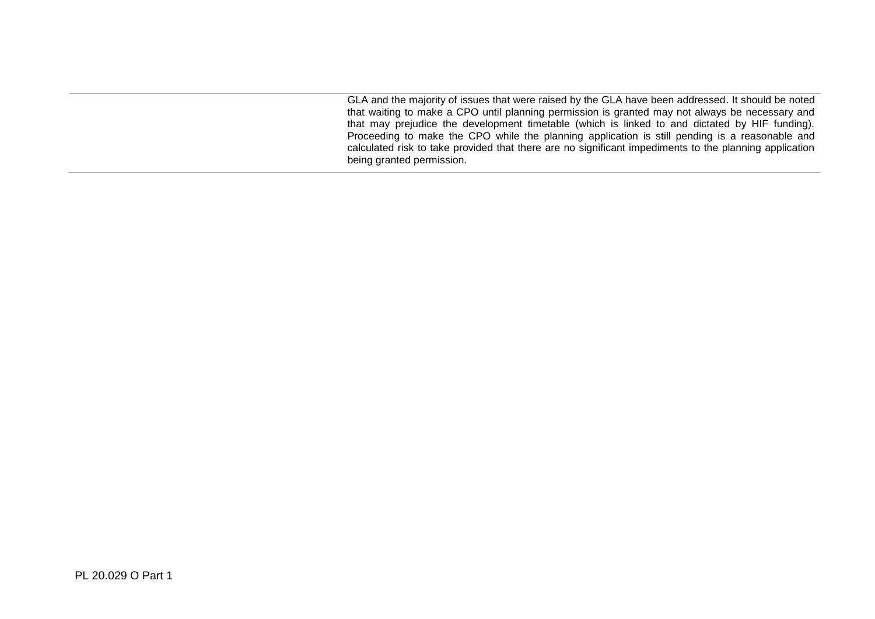GLA and the majority of issues that were raised by the GLA have been addressed. It should be noted that waiting to make a CPO until planning permission is granted may not always be necessary and that may prejudice the development timetable (which is linked to and dictated by HIF funding). Proceeding to make the CPO while the planning application is still pending is a reasonable and calculated risk to take provided that there are no significant impediments to the planning application being granted permission.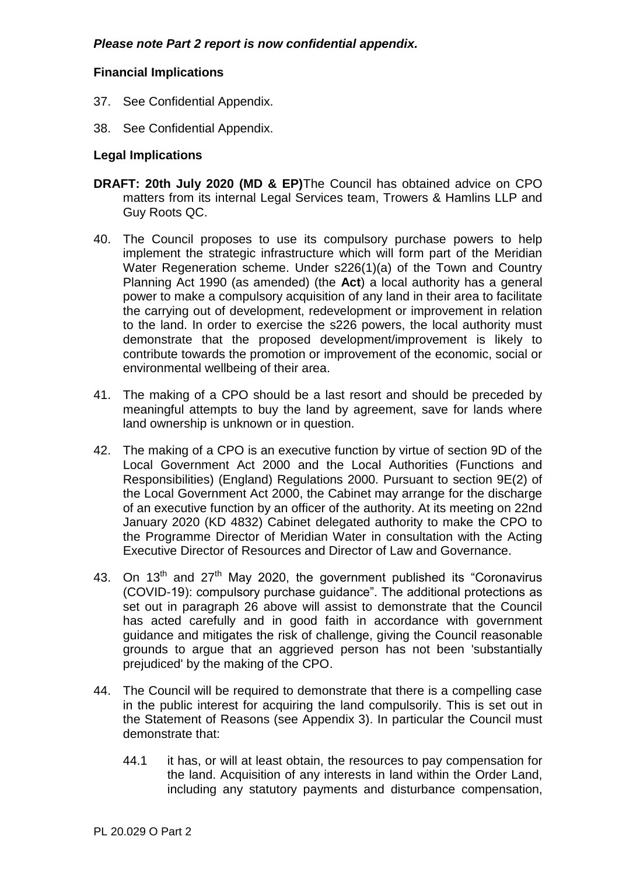# **Financial Implications**

- 37. See Confidential Appendix.
- 38. See Confidential Appendix.

## **Legal Implications**

- **DRAFT: 20th July 2020 (MD & EP)**The Council has obtained advice on CPO matters from its internal Legal Services team, Trowers & Hamlins LLP and Guy Roots QC.
- 40. The Council proposes to use its compulsory purchase powers to help implement the strategic infrastructure which will form part of the Meridian Water Regeneration scheme. Under s226(1)(a) of the Town and Country Planning Act 1990 (as amended) (the **Act**) a local authority has a general power to make a compulsory acquisition of any land in their area to facilitate the carrying out of development, redevelopment or improvement in relation to the land. In order to exercise the s226 powers, the local authority must demonstrate that the proposed development/improvement is likely to contribute towards the promotion or improvement of the economic, social or environmental wellbeing of their area.
- 41. The making of a CPO should be a last resort and should be preceded by meaningful attempts to buy the land by agreement, save for lands where land ownership is unknown or in question.
- 42. The making of a CPO is an executive function by virtue of section 9D of the Local Government Act 2000 and the Local Authorities (Functions and Responsibilities) (England) Regulations 2000. Pursuant to section 9E(2) of the Local Government Act 2000, the Cabinet may arrange for the discharge of an executive function by an officer of the authority. At its meeting on 22nd January 2020 (KD 4832) Cabinet delegated authority to make the CPO to the Programme Director of Meridian Water in consultation with the Acting Executive Director of Resources and Director of Law and Governance.
- 43. On  $13<sup>th</sup>$  and  $27<sup>th</sup>$  May 2020, the government published its "Coronavirus (COVID-19): compulsory purchase guidance". The additional protections as set out in paragraph 26 above will assist to demonstrate that the Council has acted carefully and in good faith in accordance with government guidance and mitigates the risk of challenge, giving the Council reasonable grounds to argue that an aggrieved person has not been 'substantially prejudiced' by the making of the CPO.
- 44. The Council will be required to demonstrate that there is a compelling case in the public interest for acquiring the land compulsorily. This is set out in the Statement of Reasons (see Appendix 3). In particular the Council must demonstrate that:
	- 44.1 it has, or will at least obtain, the resources to pay compensation for the land. Acquisition of any interests in land within the Order Land, including any statutory payments and disturbance compensation,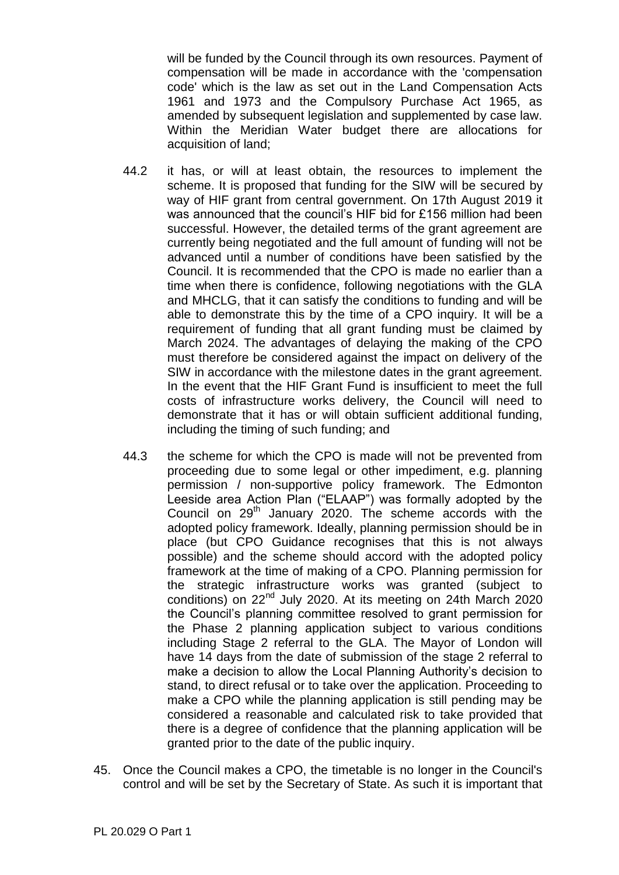will be funded by the Council through its own resources. Payment of compensation will be made in accordance with the 'compensation code' which is the law as set out in the Land Compensation Acts 1961 and 1973 and the Compulsory Purchase Act 1965, as amended by subsequent legislation and supplemented by case law. Within the Meridian Water budget there are allocations for acquisition of land;

- 44.2 it has, or will at least obtain, the resources to implement the scheme. It is proposed that funding for the SIW will be secured by way of HIF grant from central government. On 17th August 2019 it was announced that the council's HIF bid for £156 million had been successful. However, the detailed terms of the grant agreement are currently being negotiated and the full amount of funding will not be advanced until a number of conditions have been satisfied by the Council. It is recommended that the CPO is made no earlier than a time when there is confidence, following negotiations with the GLA and MHCLG, that it can satisfy the conditions to funding and will be able to demonstrate this by the time of a CPO inquiry. It will be a requirement of funding that all grant funding must be claimed by March 2024. The advantages of delaying the making of the CPO must therefore be considered against the impact on delivery of the SIW in accordance with the milestone dates in the grant agreement. In the event that the HIF Grant Fund is insufficient to meet the full costs of infrastructure works delivery, the Council will need to demonstrate that it has or will obtain sufficient additional funding, including the timing of such funding; and
- 44.3 the scheme for which the CPO is made will not be prevented from proceeding due to some legal or other impediment, e.g. planning permission / non-supportive policy framework. The Edmonton Leeside area Action Plan ("ELAAP") was formally adopted by the Council on 29<sup>th</sup> January 2020. The scheme accords with the adopted policy framework. Ideally, planning permission should be in place (but CPO Guidance recognises that this is not always possible) and the scheme should accord with the adopted policy framework at the time of making of a CPO. Planning permission for the strategic infrastructure works was granted (subject to conditions) on 22<sup>nd</sup> July 2020. At its meeting on 24th March 2020 the Council's planning committee resolved to grant permission for the Phase 2 planning application subject to various conditions including Stage 2 referral to the GLA. The Mayor of London will have 14 days from the date of submission of the stage 2 referral to make a decision to allow the Local Planning Authority's decision to stand, to direct refusal or to take over the application. Proceeding to make a CPO while the planning application is still pending may be considered a reasonable and calculated risk to take provided that there is a degree of confidence that the planning application will be granted prior to the date of the public inquiry.
- 45. Once the Council makes a CPO, the timetable is no longer in the Council's control and will be set by the Secretary of State. As such it is important that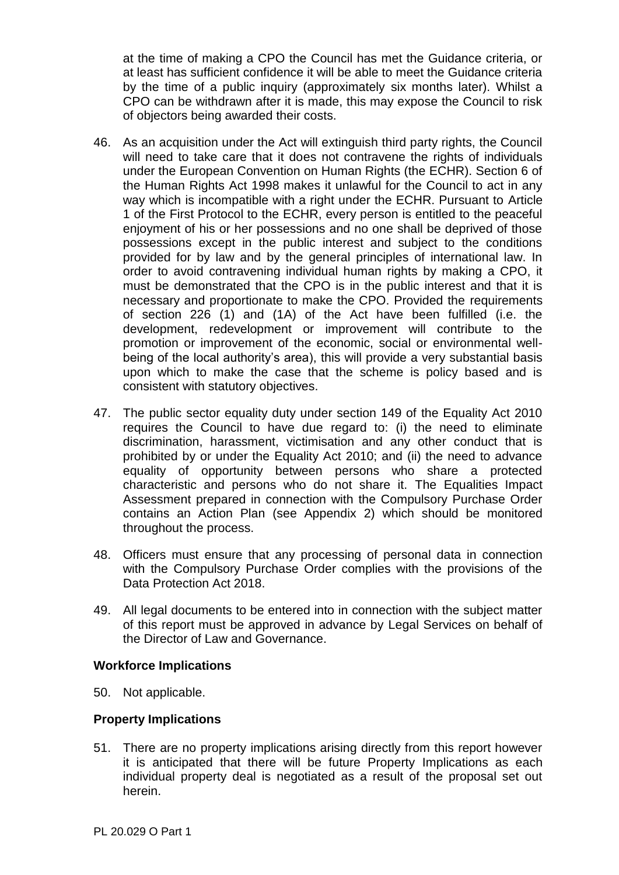at the time of making a CPO the Council has met the Guidance criteria, or at least has sufficient confidence it will be able to meet the Guidance criteria by the time of a public inquiry (approximately six months later). Whilst a CPO can be withdrawn after it is made, this may expose the Council to risk of objectors being awarded their costs.

- 46. As an acquisition under the Act will extinguish third party rights, the Council will need to take care that it does not contravene the rights of individuals under the European Convention on Human Rights (the ECHR). Section 6 of the Human Rights Act 1998 makes it unlawful for the Council to act in any way which is incompatible with a right under the ECHR. Pursuant to Article 1 of the First Protocol to the ECHR, every person is entitled to the peaceful enjoyment of his or her possessions and no one shall be deprived of those possessions except in the public interest and subject to the conditions provided for by law and by the general principles of international law. In order to avoid contravening individual human rights by making a CPO, it must be demonstrated that the CPO is in the public interest and that it is necessary and proportionate to make the CPO. Provided the requirements of section 226 (1) and (1A) of the Act have been fulfilled (i.e. the development, redevelopment or improvement will contribute to the promotion or improvement of the economic, social or environmental wellbeing of the local authority's area), this will provide a very substantial basis upon which to make the case that the scheme is policy based and is consistent with statutory objectives.
- 47. The public sector equality duty under section 149 of the Equality Act 2010 requires the Council to have due regard to: (i) the need to eliminate discrimination, harassment, victimisation and any other conduct that is prohibited by or under the Equality Act 2010; and (ii) the need to advance equality of opportunity between persons who share a protected characteristic and persons who do not share it. The Equalities Impact Assessment prepared in connection with the Compulsory Purchase Order contains an Action Plan (see Appendix 2) which should be monitored throughout the process.
- 48. Officers must ensure that any processing of personal data in connection with the Compulsory Purchase Order complies with the provisions of the Data Protection Act 2018.
- 49. All legal documents to be entered into in connection with the subject matter of this report must be approved in advance by Legal Services on behalf of the Director of Law and Governance.

## **Workforce Implications**

50. Not applicable.

## **Property Implications**

51. There are no property implications arising directly from this report however it is anticipated that there will be future Property Implications as each individual property deal is negotiated as a result of the proposal set out herein.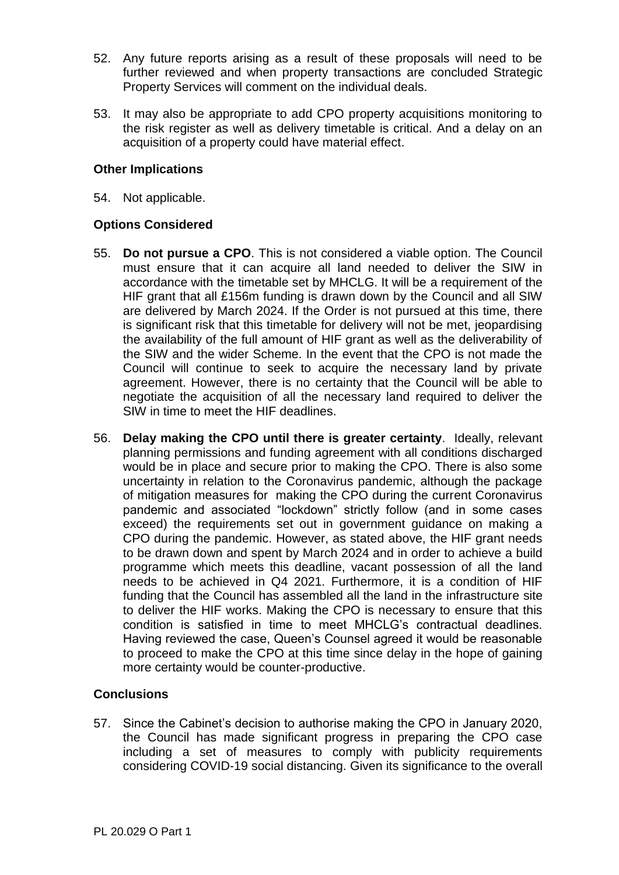- 52. Any future reports arising as a result of these proposals will need to be further reviewed and when property transactions are concluded Strategic Property Services will comment on the individual deals.
- 53. It may also be appropriate to add CPO property acquisitions monitoring to the risk register as well as delivery timetable is critical. And a delay on an acquisition of a property could have material effect.

## **Other Implications**

54. Not applicable.

## **Options Considered**

- 55. **Do not pursue a CPO**. This is not considered a viable option. The Council must ensure that it can acquire all land needed to deliver the SIW in accordance with the timetable set by MHCLG. It will be a requirement of the HIF grant that all £156m funding is drawn down by the Council and all SIW are delivered by March 2024. If the Order is not pursued at this time, there is significant risk that this timetable for delivery will not be met, jeopardising the availability of the full amount of HIF grant as well as the deliverability of the SIW and the wider Scheme. In the event that the CPO is not made the Council will continue to seek to acquire the necessary land by private agreement. However, there is no certainty that the Council will be able to negotiate the acquisition of all the necessary land required to deliver the SIW in time to meet the HIF deadlines.
- 56. **Delay making the CPO until there is greater certainty**. Ideally, relevant planning permissions and funding agreement with all conditions discharged would be in place and secure prior to making the CPO. There is also some uncertainty in relation to the Coronavirus pandemic, although the package of mitigation measures for making the CPO during the current Coronavirus pandemic and associated "lockdown" strictly follow (and in some cases exceed) the requirements set out in government guidance on making a CPO during the pandemic. However, as stated above, the HIF grant needs to be drawn down and spent by March 2024 and in order to achieve a build programme which meets this deadline, vacant possession of all the land needs to be achieved in Q4 2021. Furthermore, it is a condition of HIF funding that the Council has assembled all the land in the infrastructure site to deliver the HIF works. Making the CPO is necessary to ensure that this condition is satisfied in time to meet MHCLG's contractual deadlines. Having reviewed the case, Queen's Counsel agreed it would be reasonable to proceed to make the CPO at this time since delay in the hope of gaining more certainty would be counter-productive.

# **Conclusions**

57. Since the Cabinet's decision to authorise making the CPO in January 2020, the Council has made significant progress in preparing the CPO case including a set of measures to comply with publicity requirements considering COVID-19 social distancing. Given its significance to the overall